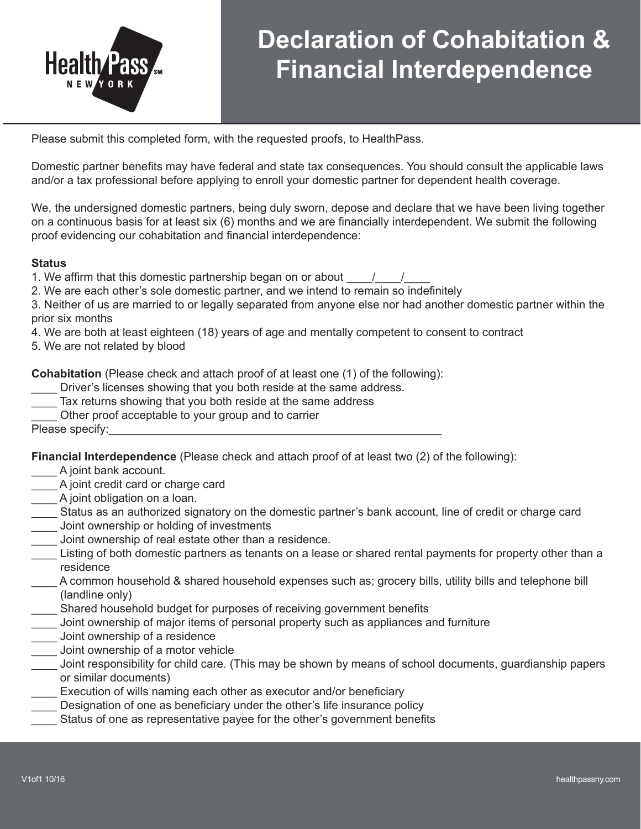

## **Declaration of Cohabitation & Financial Interdependence**

Please submit this completed form, with the requested proofs, to HealthPass.

Domestic partner benefits may have federal and state tax consequences. You should consult the applicable laws and/or a tax professional before applying to enroll your domestic partner for dependent health coverage.

We, the undersigned domestic partners, being duly sworn, depose and declare that we have been living together on a continuous basis for at least six (6) months and we are financially interdependent. We submit the following proof evidencing our cohabitation and financial interdependence:

## **Status**

1. We affirm that this domestic partnership began on or about  $\frac{1}{2}$ 

2. We are each other's sole domestic partner, and we intend to remain so indefinitely

3. Neither of us are married to or legally separated from anyone else nor had another domestic partner within the prior six months

4. We are both at least eighteen (18) years of age and mentally competent to consent to contract

5. We are not related by blood

**Cohabitation** (Please check and attach proof of at least one (1) of the following):

Driver's licenses showing that you both reside at the same address.

- Tax returns showing that you both reside at the same address
- Other proof acceptable to your group and to carrier

Please specify:

**Financial Interdependence** (Please check and attach proof of at least two (2) of the following):

- A joint bank account.
- \_\_\_\_ A joint credit card or charge card
- A joint obligation on a loan.
- \_\_\_\_ Status as an authorized signatory on the domestic partner's bank account, line of credit or charge card
- \_\_\_\_ Joint ownership or holding of investments
- Joint ownership of real estate other than a residence.
- Listing of both domestic partners as tenants on a lease or shared rental payments for property other than a residence
- A common household & shared household expenses such as; grocery bills, utility bills and telephone bill (landline only)
- \_\_\_\_ Shared household budget for purposes of receiving government benefits
- \_\_\_\_ Joint ownership of major items of personal property such as appliances and furniture
- \_\_\_\_ Joint ownership of a residence
- \_\_\_\_ Joint ownership of a motor vehicle
- Joint responsibility for child care. (This may be shown by means of school documents, guardianship papers or similar documents)
- Execution of wills naming each other as executor and/or beneficiary
- Designation of one as beneficiary under the other's life insurance policy
- \_\_\_\_ Status of one as representative payee for the other's government benefits